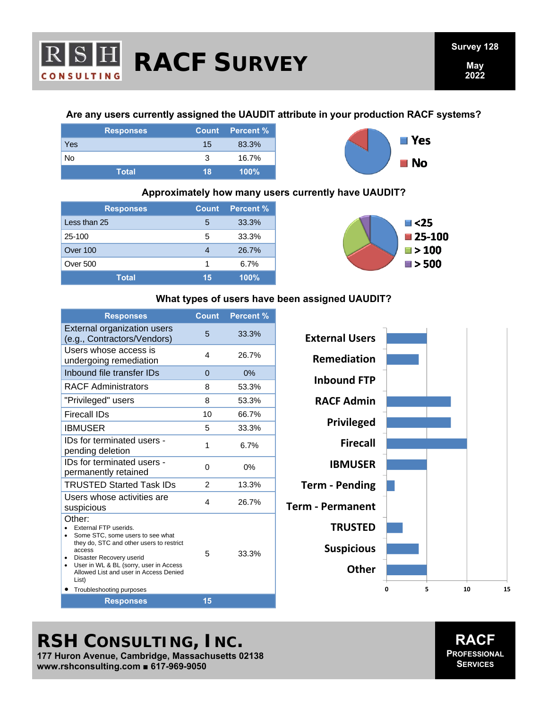

## **Are any users currently assigned the UAUDIT attribute in your production RACF systems?**

|     | <b>Responses</b> |    | Count Percent % |
|-----|------------------|----|-----------------|
| Yes |                  | 15 | 83.3%           |
| No  |                  | 3  | 16.7%           |
|     | <b>Total</b>     | 18 | $100\%$         |



# **Approximately how many users currently have UAUDIT?**

| <b>Responses</b> |    | <b>Count</b> Percent % |
|------------------|----|------------------------|
| Less than 25     | 5  | 33.3%                  |
| 25-100           | 5  | 33.3%                  |
| Over 100         |    | 26.7%                  |
| Over 500         | 1  | 6.7%                   |
| <b>Total</b>     | 15 | 100%                   |



#### **What types of users have been assigned UAUDIT?**

| <b>Responses</b>                                                                                                                                                                                                                                                               | <b>Count</b>   | <b>Percent %</b> |
|--------------------------------------------------------------------------------------------------------------------------------------------------------------------------------------------------------------------------------------------------------------------------------|----------------|------------------|
| <b>External organization users</b><br>(e.g., Contractors/Vendors)                                                                                                                                                                                                              | 5              | 33.3%            |
| Users whose access is<br>undergoing remediation                                                                                                                                                                                                                                | 4              | 26.7%            |
| Inbound file transfer IDs                                                                                                                                                                                                                                                      | $\Omega$       | 0%               |
| <b>RACF Administrators</b>                                                                                                                                                                                                                                                     | 8              | 53.3%            |
| "Privileged" users                                                                                                                                                                                                                                                             | 8              | 53.3%            |
| Firecall IDs                                                                                                                                                                                                                                                                   | 10             | 66.7%            |
| <b>IBMUSER</b>                                                                                                                                                                                                                                                                 | 5              | 33.3%            |
| IDs for terminated users -<br>pending deletion                                                                                                                                                                                                                                 | 1              | 6.7%             |
| IDs for terminated users -<br>permanently retained                                                                                                                                                                                                                             | 0              | 0%               |
| <b>TRUSTED Started Task IDs</b>                                                                                                                                                                                                                                                | $\mathfrak{p}$ | 13.3%            |
| Users whose activities are<br>suspicious                                                                                                                                                                                                                                       | 4              | 26.7%            |
| Other:<br>External FTP userids.<br>Some STC, some users to see what<br>they do, STC and other users to restrict<br>access<br>Disaster Recovery userid<br>User in WL & BL (sorry, user in Access<br>Allowed List and user in Access Denied<br>List)<br>Troubleshooting purposes | 5              | 33.3%            |
| <b>Responses</b>                                                                                                                                                                                                                                                               | 15             |                  |



**RSH CONSULTING, INC.** 

**177 Huron Avenue, Cambridge, Massachusetts 02138 www.rshconsulting.com ■ 617-969-9050**